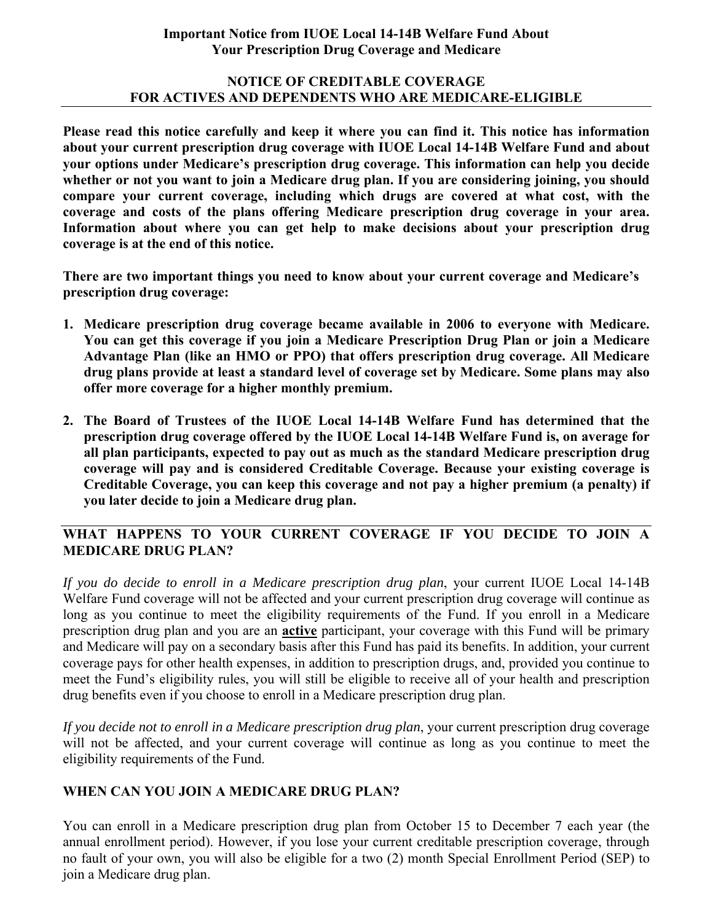#### **Important Notice from IUOE Local 14-14B Welfare Fund About Your Prescription Drug Coverage and Medicare**

#### **NOTICE OF CREDITABLE COVERAGE FOR ACTIVES AND DEPENDENTS WHO ARE MEDICARE-ELIGIBLE**

**Please read this notice carefully and keep it where you can find it. This notice has information about your current prescription drug coverage with IUOE Local 14-14B Welfare Fund and about your options under Medicare's prescription drug coverage. This information can help you decide whether or not you want to join a Medicare drug plan. If you are considering joining, you should compare your current coverage, including which drugs are covered at what cost, with the coverage and costs of the plans offering Medicare prescription drug coverage in your area. Information about where you can get help to make decisions about your prescription drug coverage is at the end of this notice.**

**There are two important things you need to know about your current coverage and Medicare's prescription drug coverage:** 

- **1. Medicare prescription drug coverage became available in 2006 to everyone with Medicare. You can get this coverage if you join a Medicare Prescription Drug Plan or join a Medicare Advantage Plan (like an HMO or PPO) that offers prescription drug coverage. All Medicare drug plans provide at least a standard level of coverage set by Medicare. Some plans may also offer more coverage for a higher monthly premium.**
- **2. The Board of Trustees of the IUOE Local 14-14B Welfare Fund has determined that the prescription drug coverage offered by the IUOE Local 14-14B Welfare Fund is, on average for all plan participants, expected to pay out as much as the standard Medicare prescription drug coverage will pay and is considered Creditable Coverage. Because your existing coverage is Creditable Coverage, you can keep this coverage and not pay a higher premium (a penalty) if you later decide to join a Medicare drug plan.**

# **WHAT HAPPENS TO YOUR CURRENT COVERAGE IF YOU DECIDE TO JOIN A MEDICARE DRUG PLAN?**

*If you do decide to enroll in a Medicare prescription drug plan*, your current IUOE Local 14-14B Welfare Fund coverage will not be affected and your current prescription drug coverage will continue as long as you continue to meet the eligibility requirements of the Fund. If you enroll in a Medicare prescription drug plan and you are an **active** participant, your coverage with this Fund will be primary and Medicare will pay on a secondary basis after this Fund has paid its benefits. In addition, your current coverage pays for other health expenses, in addition to prescription drugs, and, provided you continue to meet the Fund's eligibility rules, you will still be eligible to receive all of your health and prescription drug benefits even if you choose to enroll in a Medicare prescription drug plan.

*If you decide not to enroll in a Medicare prescription drug plan*, your current prescription drug coverage will not be affected, and your current coverage will continue as long as you continue to meet the eligibility requirements of the Fund.

## **WHEN CAN YOU JOIN A MEDICARE DRUG PLAN?**

You can enroll in a Medicare prescription drug plan from October 15 to December 7 each year (the annual enrollment period). However, if you lose your current creditable prescription coverage, through no fault of your own, you will also be eligible for a two (2) month Special Enrollment Period (SEP) to join a Medicare drug plan.